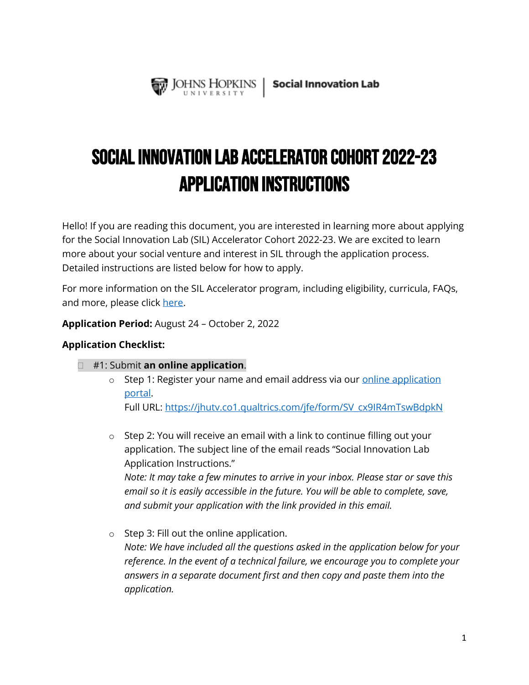

# Social Innovation Lab Accelerator COHORT 2022-23 Application Instructions

Hello! If you are reading this document, you are interested in learning more about applying for the Social Innovation Lab (SIL) Accelerator Cohort 2022-23. We are excited to learn more about your social venture and interest in SIL through the application process. Detailed instructions are listed below for how to apply.

For more information on the SIL Accelerator program, including eligibility, curricula, FAQs, and more, please click [here.](https://ventures.jhu.edu/programs-services/social-innovation-lab/sil-apply/)

**Application Period:** August 24 – October 2, 2022

#### **Application Checklist:**

- #1: Submit **an online application**.
	- $\circ$  Step 1: Register your name and email address via our [online application](https://jhutv.co1.qualtrics.com/jfe/form/SV_cx9IR4mTswBdpkN) portal.

Full URL: [https://jhutv.co1.qualtrics.com/jfe/form/SV\\_cx9IR4mTswBdpkN](https://jhutv.co1.qualtrics.com/jfe/form/SV_cx9IR4mTswBdpkN)

- o Step 2: You will receive an email with a link to continue filling out your application. The subject line of the email reads "Social Innovation Lab Application Instructions." *Note: It may take a few minutes to arrive in your inbox. Please star or save this email so it is easily accessible in the future. You will be able to complete, save, and submit your application with the link provided in this email.*
- o Step 3: Fill out the online application. *Note: We have included all the questions asked in the application below for your reference. In the event of a technical failure, we encourage you to complete your answers in a separate document first and then copy and paste them into the application.*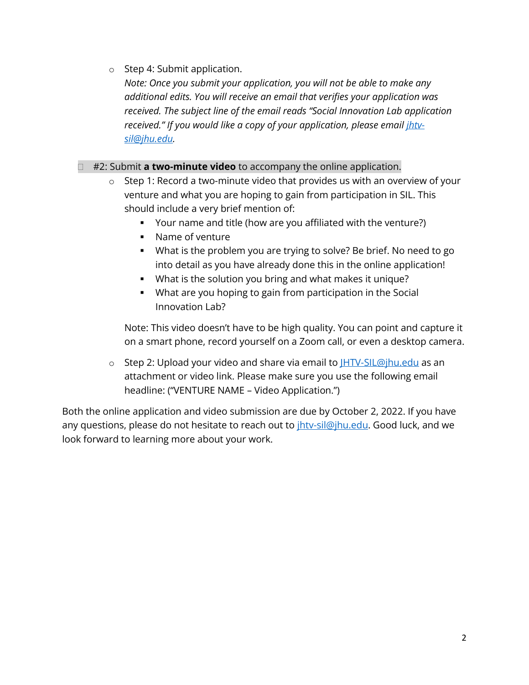o Step 4: Submit application.

*Note: Once you submit your application, you will not be able to make any additional edits. You will receive an email that verifies your application was received. The subject line of the email reads "Social Innovation Lab application*  received." If you would like a copy of your application, please email *ihtv[sil@jhu.edu.](mailto:jhtv-sil@jhu.edu)* 

#### #2: Submit **a two-minute video** to accompany the online application.

- o Step 1: Record a two-minute video that provides us with an overview of your venture and what you are hoping to gain from participation in SIL. This should include a very brief mention of:
	- Your name and title (how are you affiliated with the venture?)
	- Name of venture
	- What is the problem you are trying to solve? Be brief. No need to go into detail as you have already done this in the online application!
	- What is the solution you bring and what makes it unique?
	- What are you hoping to gain from participation in the Social Innovation Lab?

Note: This video doesn't have to be high quality. You can point and capture it on a smart phone, record yourself on a Zoom call, or even a desktop camera.

o Step 2: Upload your video and share via email to [JHTV-SIL@jhu.edu](mailto:JHTV-SIL@jhu.edu) as an attachment or video link. Please make sure you use the following email headline: ("VENTURE NAME – Video Application.")

Both the online application and video submission are due by October 2, 2022. If you have any questions, please do not hesitate to reach out to *ihtv-sil@jhu.edu*. Good luck, and we look forward to learning more about your work.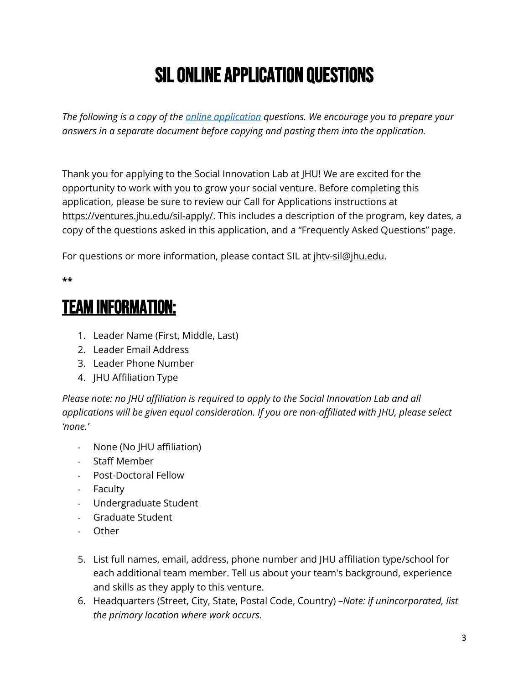# SIL Online Application Questions

*The following is a copy of the [online application](https://jhutv.co1.qualtrics.com/jfe/form/SV_cx9IR4mTswBdpkN) questions. We encourage you to prepare your answers in a separate document before copying and pasting them into the application.* 

Thank you for applying to the Social Innovation Lab at JHU! We are excited for the opportunity to work with you to grow your social venture. Before completing this application, please be sure to review our Call for Applications instructions at [https://ventures.jhu.edu/sil-apply/.](https://ventures.jhu.edu/sil-apply/) This includes a description of the program, key dates, a copy of the questions asked in this application, and a "Frequently Asked Questions" page.

For questions or more information, please contact SIL at *ihtv-sil@jhu.edu.* 

#### **\*\***

# Team Information:

- 1. Leader Name (First, Middle, Last)
- 2. Leader Email Address
- 3. Leader Phone Number
- 4. JHU Affiliation Type

*Please note: no JHU affiliation is required to apply to the Social Innovation Lab and all applications will be given equal consideration. If you are non-affiliated with JHU, please select 'none.'*

- None (No JHU affiliation)
- Staff Member
- Post-Doctoral Fellow
- Faculty
- Undergraduate Student
- Graduate Student
- Other
- 5. List full names, email, address, phone number and JHU affiliation type/school for each additional team member. Tell us about your team's background, experience and skills as they apply to this venture.
- 6. Headquarters (Street, City, State, Postal Code, Country) –*Note: if unincorporated, list the primary location where work occurs.*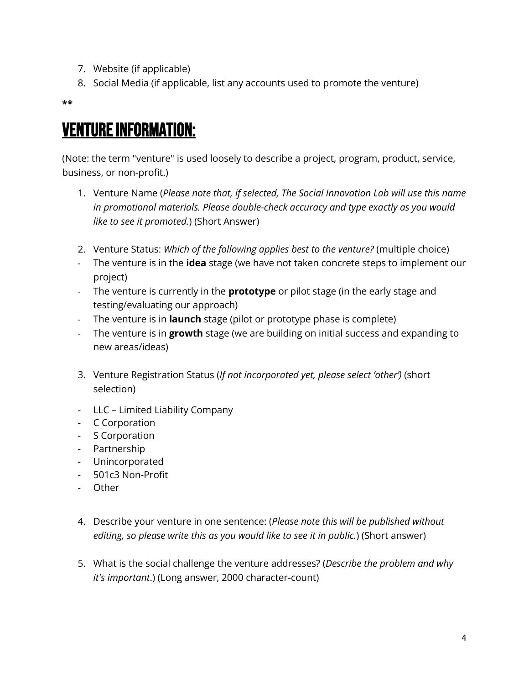- 7. Website (if applicable)
- 8. Social Media (if applicable, list any accounts used to promote the venture)

**\*\***

## Venture Information:

(Note: the term "venture" is used loosely to describe a project, program, product, service, business, or non-profit.)

- 1. Venture Name (*Please note that, if selected, The Social Innovation Lab will use this name in promotional materials. Please double-check accuracy and type exactly as you would like to see it promoted.*) (Short Answer)
- 2. Venture Status: *Which of the following applies best to the venture?* (multiple choice)
- The venture is in the **idea** stage (we have not taken concrete steps to implement our project)
- The venture is currently in the **prototype** or pilot stage (in the early stage and testing/evaluating our approach)
- The venture is in **launch** stage (pilot or prototype phase is complete)
- The venture is in **growth** stage (we are building on initial success and expanding to new areas/ideas)
- 3. Venture Registration Status (*If not incorporated yet, please select 'other')* (short selection)
- LLC Limited Liability Company
- C Corporation
- S Corporation
- Partnership
- Unincorporated
- 501c3 Non-Profit
- Other
- 4. Describe your venture in one sentence: (*Please note this will be published without editing, so please write this as you would like to see it in public.*) (Short answer)
- 5. What is the social challenge the venture addresses? (*Describe the problem and why it's important*.) (Long answer, 2000 character-count)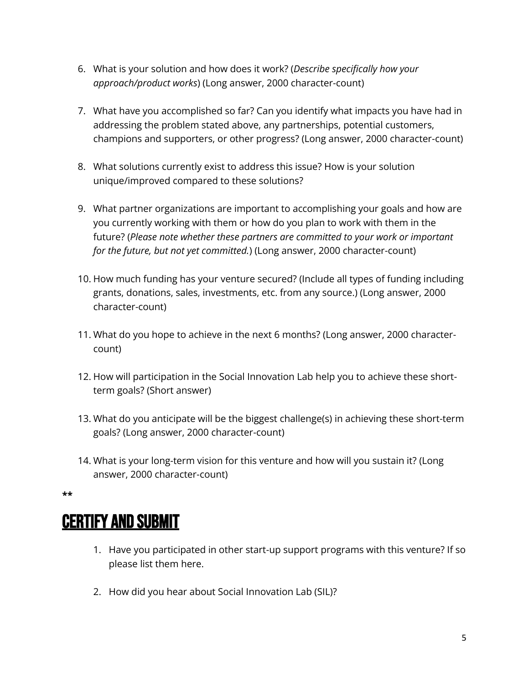- 6. What is your solution and how does it work? (*Describe specifically how your approach/product works*) (Long answer, 2000 character-count)
- 7. What have you accomplished so far? Can you identify what impacts you have had in addressing the problem stated above, any partnerships, potential customers, champions and supporters, or other progress? (Long answer, 2000 character-count)
- 8. What solutions currently exist to address this issue? How is your solution unique/improved compared to these solutions?
- 9. What partner organizations are important to accomplishing your goals and how are you currently working with them or how do you plan to work with them in the future? (*Please note whether these partners are committed to your work or important for the future, but not yet committed.*) (Long answer, 2000 character-count)
- 10. How much funding has your venture secured? (Include all types of funding including grants, donations, sales, investments, etc. from any source.) (Long answer, 2000 character-count)
- 11. What do you hope to achieve in the next 6 months? (Long answer, 2000 charactercount)
- 12. How will participation in the Social Innovation Lab help you to achieve these shortterm goals? (Short answer)
- 13. What do you anticipate will be the biggest challenge(s) in achieving these short-term goals? (Long answer, 2000 character-count)
- 14. What is your long-term vision for this venture and how will you sustain it? (Long answer, 2000 character-count)

**\*\***

## **CERTIFY AND SUBMIT**

- 1. Have you participated in other start-up support programs with this venture? If so please list them here.
- 2. How did you hear about Social Innovation Lab (SIL)?